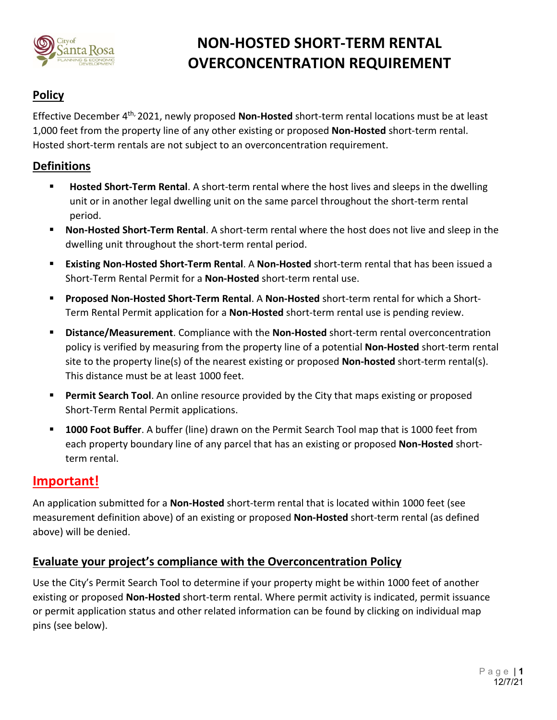

# **NON-HOSTED SHORT-TERM RENTAL OVERCONCENTRATION REQUIREMENT**

# **Policy**

Effective December 4th, 2021, newly proposed **Non-Hosted** short-term rental locations must be at least 1,000 feet from the property line of any other existing or proposed **Non-Hosted** short-term rental. Hosted short-term rentals are not subject to an overconcentration requirement.

#### **Definitions**

- **Hosted Short-Term Rental**. A short-term rental where the host lives and sleeps in the dwelling unit or in another legal dwelling unit on the same parcel throughout the short-term rental period.
- **Non-Hosted Short-Term Rental**. A short-term rental where the host does not live and sleep in the dwelling unit throughout the short-term rental period.
- **Existing Non-Hosted Short-Term Rental**. A **Non-Hosted** short-term rental that has been issued a Short-Term Rental Permit for a **Non-Hosted** short-term rental use.
- **Proposed Non-Hosted Short-Term Rental**. A **Non-Hosted** short-term rental for which a Short-Term Rental Permit application for a **Non-Hosted** short-term rental use is pending review.
- **Distance/Measurement**. Compliance with the **Non-Hosted** short-term rental overconcentration policy is verified by measuring from the property line of a potential **Non-Hosted** short-term rental site to the property line(s) of the nearest existing or proposed **Non-hosted** short-term rental(s). This distance must be at least 1000 feet.
- **Permit Search Tool**. An online resource provided by the City that maps existing or proposed Short-Term Rental Permit applications.
- **1000 Foot Buffer**. A buffer (line) drawn on the Permit Search Tool map that is 1000 feet from each property boundary line of any parcel that has an existing or proposed **Non-Hosted** shortterm rental.

# **Important!**

An application submitted for a **Non-Hosted** short-term rental that is located within 1000 feet (see measurement definition above) of an existing or proposed **Non-Hosted** short-term rental (as defined above) will be denied.

#### **Evaluate your project's compliance with the Overconcentration Policy**

Use the City's Permit Search Tool to determine if your property might be within 1000 feet of another existing or proposed **Non-Hosted** short-term rental. Where permit activity is indicated, permit issuance or permit application status and other related information can be found by clicking on individual map pins (see below).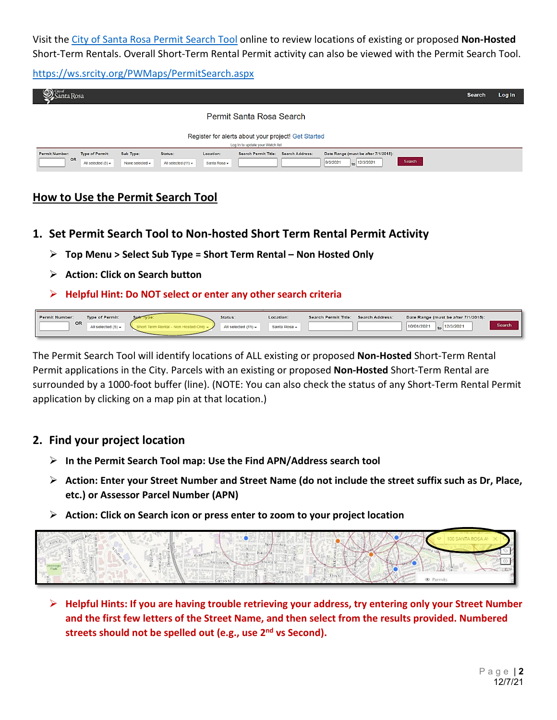Visit th[e City of Santa Rosa Permit Search Tool](https://ws.srcity.org/PWMaps/PermitSearch.aspx) online to review locations of existing or proposed **Non-Hosted** Short-Term Rentals. Overall Short-Term Rental Permit activity can also be viewed with the Permit Search Tool.

<https://ws.srcity.org/PWMaps/PermitSearch.aspx>

| (Com City of<br>ınta Rosa                                                                  |                              |                                                                     |                                                       |                                                                    | Log In<br><b>Search</b> |  |  |  |
|--------------------------------------------------------------------------------------------|------------------------------|---------------------------------------------------------------------|-------------------------------------------------------|--------------------------------------------------------------------|-------------------------|--|--|--|
|                                                                                            |                              |                                                                     | Permit Santa Rosa Search                              |                                                                    |                         |  |  |  |
| Register for alerts about your project! Get Started<br>Log In to update your Watch list    |                              |                                                                     |                                                       |                                                                    |                         |  |  |  |
| <b>Permit Number:</b><br><b>Type of Permit:</b><br><b>OR</b><br>All selected $(5)$ $\star$ | Sub Type:<br>None selected - | Location:<br>Status:<br>Santa Rosa -<br>All selected $(11)$ $\star$ | <b>Search Permit Title:</b><br><b>Search Address:</b> | Date Range (must be after 7/1/2015):<br>$to$ 12/3/2021<br>9/3/2021 | Search                  |  |  |  |

## **How to Use the Permit Search Tool**

- **1. Set Permit Search Tool to Non-hosted Short Term Rental Permit Activity**
	- **Top Menu > Select Sub Type = Short Term Rental – Non Hosted Only**
	- **Action: Click on Search button**
	- **Helpful Hint: Do NOT select or enter any other search criteria**

| <b>Permit Number:</b> | <b>Type of Permit:</b>     | sub | Status:                     | Location:    | Search Permit Title: | <b>Search Address:</b> | Date Range (must be after 7/1/2015): |               |
|-----------------------|----------------------------|-----|-----------------------------|--------------|----------------------|------------------------|--------------------------------------|---------------|
| OR                    | All selected $(5)$ $\star$ |     | All selected $(11)$ $\star$ | santa Rosa + |                      |                        | 10/01/202<br>12/3/2021<br>to         | <b>Search</b> |
|                       |                            |     |                             |              |                      |                        |                                      |               |

The Permit Search Tool will identify locations of ALL existing or proposed **Non-Hosted** Short-Term Rental Permit applications in the City. Parcels with an existing or proposed **Non-Hosted** Short-Term Rental are surrounded by a 1000-foot buffer (line). (NOTE: You can also check the status of any Short-Term Rental Permit application by clicking on a map pin at that location.)

#### **2. Find your project location**

- **In the Permit Search Tool map: Use the Find APN/Address search tool**
- **Action: Enter your Street Number and Street Name (do not include the street suffix such as Dr, Place, etc.) or Assessor Parcel Number (APN)**
- **Action: Click on Search icon or press enter to zoom to your project location**



 **Helpful Hints: If you are having trouble retrieving your address, try entering only your Street Number and the first few letters of the Street Name, and then select from the results provided. Numbered streets should not be spelled out (e.g., use 2nd vs Second).**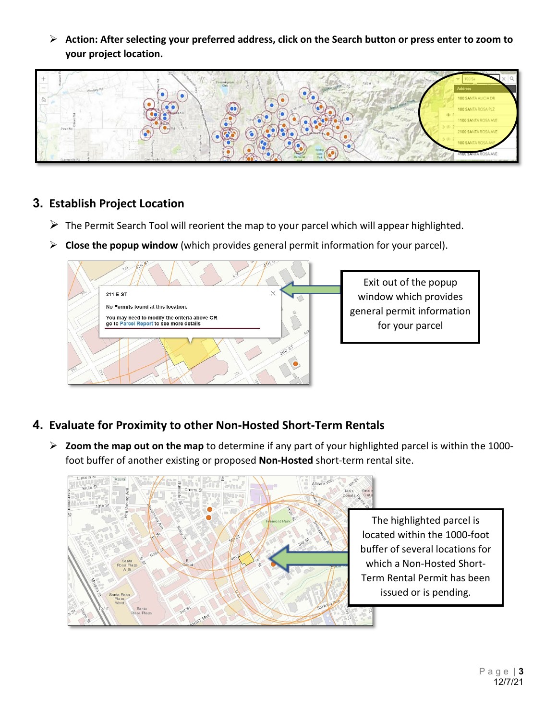**Action: After selecting your preferred address, click on the Search button or press enter to zoom to your project location.**



## **3. Establish Project Location**

- $\triangleright$  The Permit Search Tool will reorient the map to your parcel which will appear highlighted.
- **Close the popup window** (which provides general permit information for your parcel).



Exit out of the popup window which provides general permit information for your parcel

- **4. Evaluate for Proximity to other Non-Hosted Short-Term Rentals**
	- **Zoom the map out on the map** to determine if any part of your highlighted parcel is within the 1000 foot buffer of another existing or proposed **Non-Hosted** short-term rental site.



The highlighted parcel is located within the 1000-foot buffer of several locations for which a Non-Hosted Short-Term Rental Permit has been issued or is pending.